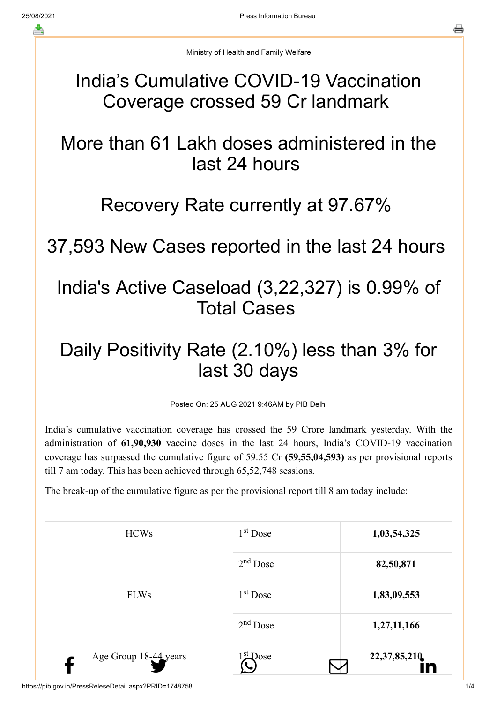Ministry of Health and Family Welfare

#### India's Cumulative COVID-19 Vaccination Coverage crossed 59 Cr landmark

# More than 61 Lakh doses administered in the last 24 hours

### Recovery Rate currently at 97.67%

### 37,593 New Cases reported in the last 24 hours

### India's Active Caseload (3,22,327) is 0.99% of Total Cases

# Daily Positivity Rate (2.10%) less than 3% for last 30 days

Posted On: 25 AUG 2021 9:46AM by PIB Delhi

India's cumulative vaccination coverage has crossed the 59 Crore landmark yesterday. With the administration of **61,90,930** vaccine doses in the last 24 hours, India's COVID-19 vaccination coverage has surpassed the cumulative figure of 59.55 Cr **(59,55,04,593)** as per provisional reports till 7 am today. This has been achieved through 65,52,748 sessions.

The break-up of the cumulative figure as per the provisional report till 8 am today include:

| <b>HCWs</b>           | $1st$ Dose           | 1,03,54,325        |
|-----------------------|----------------------|--------------------|
|                       | $2nd$ Dose           | 82,50,871          |
| <b>FLWs</b>           | 1 <sup>st</sup> Dose | 1,83,09,553        |
|                       | $2nd$ Dose           | 1,27,11,166        |
| Age Group 18-44 years | st Dose              | 22,37,85,210<br>In |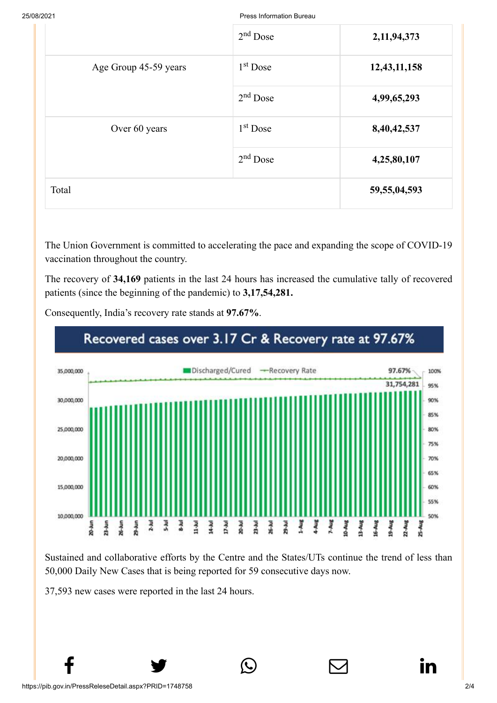25/08/2021 Press Information Bureau

|                       | $2nd$ Dose | 2,11,94,373     |
|-----------------------|------------|-----------------|
| Age Group 45-59 years | $1st$ Dose | 12,43,11,158    |
|                       | $2nd$ Dose | 4,99,65,293     |
| Over 60 years         | $1st$ Dose | 8,40,42,537     |
|                       | $2nd$ Dose | 4,25,80,107     |
| Total                 |            | 59, 55, 04, 593 |

The Union Government is committed to accelerating the pace and expanding the scope of COVID-19 vaccination throughout the country.

The recovery of **34,169** patients in the last 24 hours has increased the cumulative tally of recovered patients (since the beginning of the pandemic) to **3,17,54,281.**



Consequently, India's recovery rate stands at **97.67%**.

Sustained and collaborative efforts by the Centre and the States/UTs continue the trend of less than 50,000 Daily New Cases that is being reported for 59 consecutive days now.

 $f$  y  $\circledcirc$   $\quad \circ$  in

37,593 new cases were reported in the last 24 hours.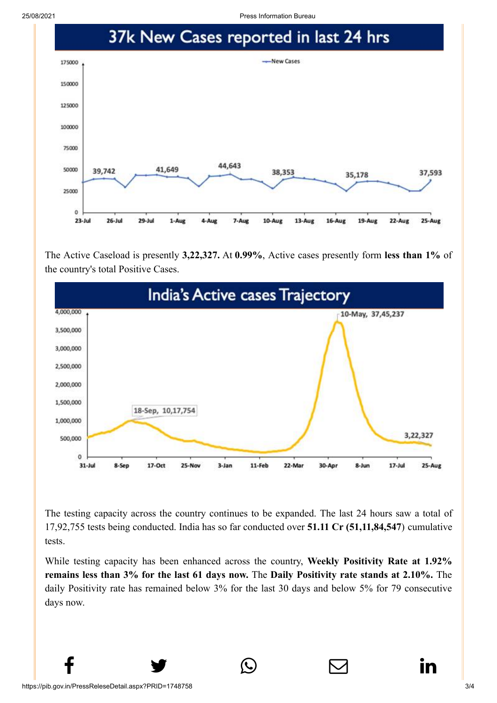25/08/2021 Press Information Bureau



The Active Caseload is presently **3,22,327.** At **0.99%**, Active cases presently form **less than 1%** of the country's total Positive Cases.



The testing capacity across the country continues to be expanded. The last 24 hours saw a total of 17,92,755 tests being conducted. India has so far conducted over **51.11 Cr (51,11,84,547**) cumulative tests.

While testing capacity has been enhanced across the country, **Weekly Positivity Rate at 1.92% remains less than 3% for the last 61 days now.** The **Daily Positivity rate stands at 2.10%.** The daily Positivity rate has remained below 3% for the last 30 days and below 5% for 79 consecutive days now.

 $f$  y  $\circledcirc$   $\quad \circledcirc$  in